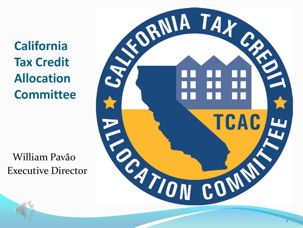**California<br>Tax Credit<br>Allocation<br>Committee** 

William Pavão **Executive Director** 

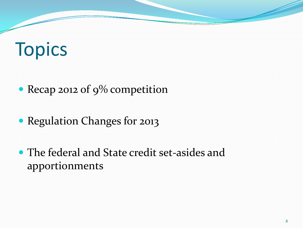#### Topics

• Recap 2012 of 9% competition

• Regulation Changes for 2013

 The federal and State credit set-asides and apportionments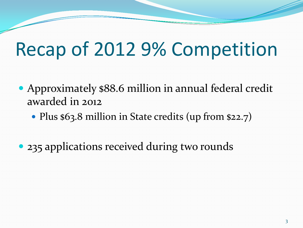#### Recap of 2012 9% Competition

- Approximately \$88.6 million in annual federal credit awarded in 2012
	- Plus \$63.8 million in State credits (up from \$22.7)
- 235 applications received during two rounds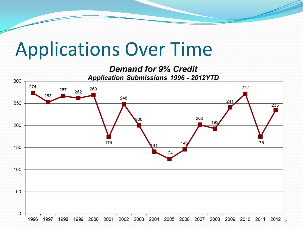#### Applications Over Time

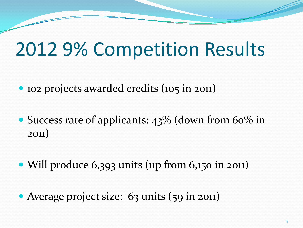#### 2012 9% Competition Results

- 102 projects awarded credits (105 in 2011)
- Success rate of applicants: 43% (down from 60% in 2011)
- Will produce 6,393 units (up from 6,150 in 2011)
- Average project size: 63 units (59 in 2011)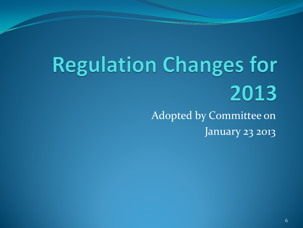# **Regulation Changes for** 2013

Adopted by Committee on January 23 2013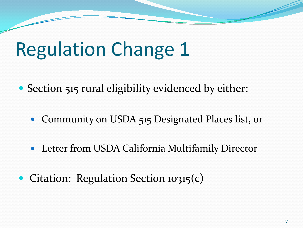- Section 515 rural eligibility evidenced by either:
	- Community on USDA 515 Designated Places list, or
	- Letter from USDA California Multifamily Director
- Citation: Regulation Section 10315(c)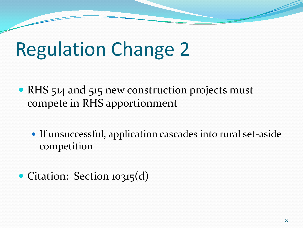- RHS 514 and 515 new construction projects must compete in RHS apportionment
	- If unsuccessful, application cascades into rural set-aside competition
- Citation: Section 10315(d)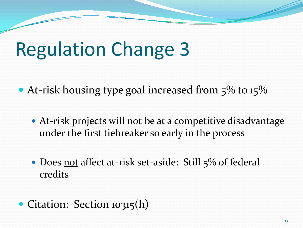- At-risk housing type goal increased from 5% to 15%
	- At-risk projects will not be at a competitive disadvantage under the first tiebreaker so early in the process
	- Does not affect at-risk set-aside: Still 5% of federal credits
- Citation: Section 10315(h)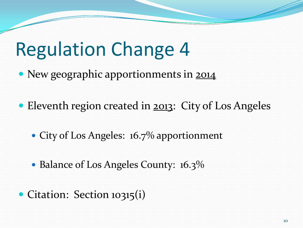- New geographic apportionments in 2014
- Eleventh region created in 2013: City of Los Angeles
	- City of Los Angeles: 16.7% apportionment
	- Balance of Los Angeles County: 16.3%
- Citation: Section 10315(i)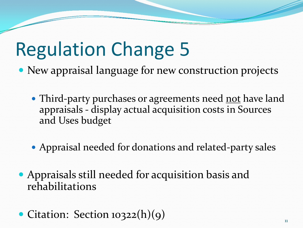- New appraisal language for new construction projects
	- Third-party purchases or agreements need not have land appraisals - display actual acquisition costs in Sources and Uses budget
	- Appraisal needed for donations and related-party sales
- Appraisals still needed for acquisition basis and rehabilitations
- Citation: Section 10322(h)(9)  $\qquad \qquad$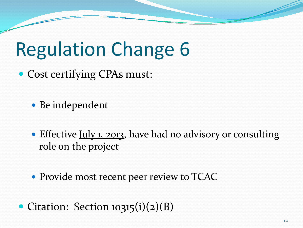• Cost certifying CPAs must:

• Be independent

• Effective July 1, 2013, have had no advisory or consulting role on the project

Provide most recent peer review to TCAC

• Citation: Section 10315(i)(2)(B)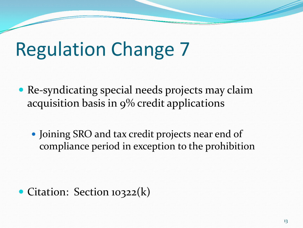- Re-syndicating special needs projects may claim acquisition basis in 9% credit applications
	- Joining SRO and tax credit projects near end of compliance period in exception to the prohibition

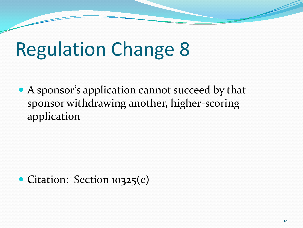A sponsor's application cannot succeed by that sponsor withdrawing another, higher-scoring application

• Citation: Section 10325(c)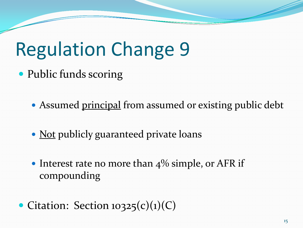• Public funds scoring

• Assumed principal from assumed or existing public debt

- Not publicly guaranteed private loans
- Interest rate no more than  $4\%$  simple, or AFR if compounding compounding
- Citation: Section  $10325(c)(1)(C)$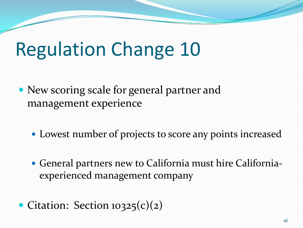- New scoring scale for general partner and management experience
	- Lowest number of projects to score any points increased
	- General partners new to California must hire Californiaexperienced management company
- Citation: Section 10325(c)(2)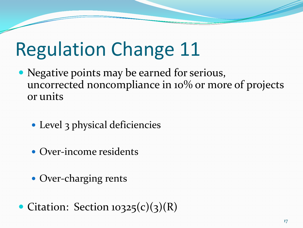- Negative points may be earned for serious, uncorrected noncompliance in 10% or more of projects or units
	- Level 3 physical deficiencies
	- Over-income residents
	- Over-charging rents
- Citation: Section  $10325(c)(3)(R)$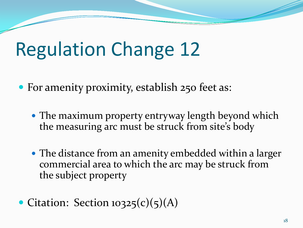• For amenity proximity, establish 250 feet as:

- The maximum property entryway length beyond which the measuring arc must be struck from site's body
- The distance from an amenity embedded within a larger commercial area to which the arc may be struck from the subject property
- Citation: Section  $10325(c)(5)(A)$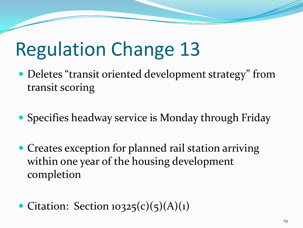- Deletes "transit oriented development strategy" from transit scoring
- Specifies headway service is Monday through Friday
- Creates exception for planned rail station arriving within one year of the housing development completion
- Citation: Section  $10325(c)(5)(A)(1)$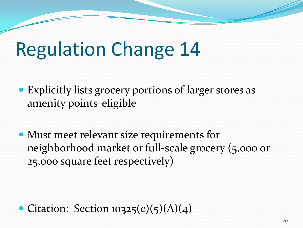- Explicitly lists grocery portions of larger stores as amenity points-eligible
- Must meet relevant size requirements for neighborhood market or full-scale grocery (5,000 or 25,000 square feet respectively)

• Citation: Section  $10325(c)(5)(A)(4)$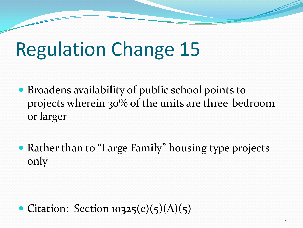- Broadens availability of public school points to projects wherein 30% of the units are three-bedroom or larger
- Rather than to "Large Family" housing type projects only

• Citation: Section  $10325(c)(5)(A)(5)$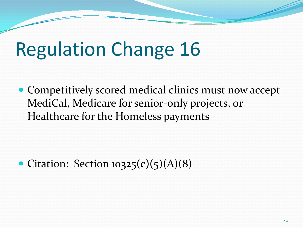Competitively scored medical clinics must now accept MediCal, Medicare for senior-only projects, or Healthcare for the Homeless payments

• Citation: Section  $10325(c)(5)(A)(8)$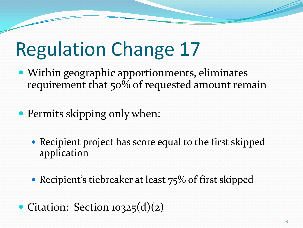Within geographic apportionments, eliminates requirement that 50% of requested amount remain

• Permits skipping only when:

 Recipient project has score equal to the first skipped application

• Recipient's tiebreaker at least 75% of first skipped

• Citation: Section 10325(d)(2)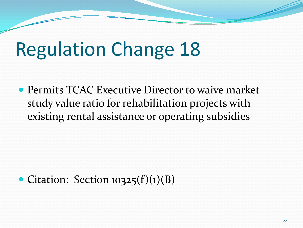**Executive Director to waive market** ratio for rehabilitation projects with existing rental assistance or operating subsidies • Permits TCAC Executive Director to waive market<br>study value ratio for rehabilitation projects with<br>existing rental assistance or operating subsidies

#### • Citation: Section  $10325(f)(1)(B)$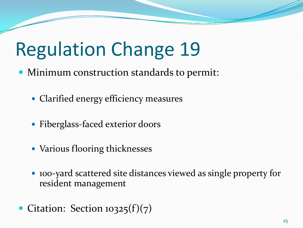- Minimum construction standards to permit:
	- Clarified energy efficiency measures
	- Fiberglass-faced exterior doors
	- Various flooring thicknesses
	- 100-yard scattered site distances viewed as single property for resident management
- Citation: Section  $10325(f)(7)$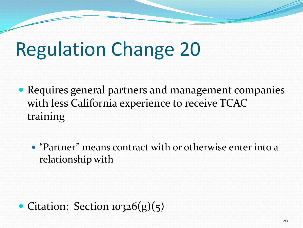- Requires general partners and management companies with less California experience to receive TCAC training
	- "Partner" means contract with or otherwise enter into a relationship with

• Citation: Section  $10326(g)(5)$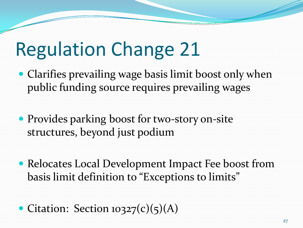- Clarifies prevailing wage basis limit boost only when public funding source requires prevailing wages
- structures, beyond just podium Provides parking boost for two-story on-site
- Relocates Local Development Impact Fee boost from basis limit definition to "Exceptions to limits"
- Citation: Section  $10327(c)(5)(A)$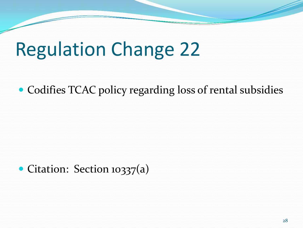#### Codifies TCAC policy regarding loss of rental subsidies

#### • Citation: Section 10337(a)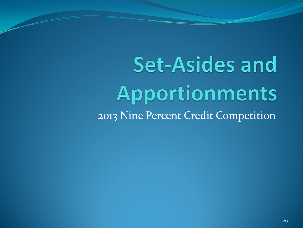**Set-Asides and** Apportionments 2013 Nine Percent Credit Competition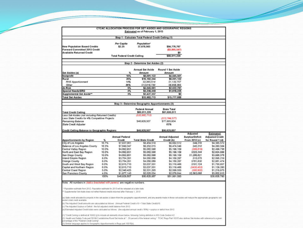|                                                                                                                                                                                                                                                                                                                                                                      |              |                                     | Estimated as of February 1, 2013                    | CTCAC ALLOCATION PROCESS FOR SET ASIDES AND GEOGRAPHIC REGIONS |                                    |                                     |
|----------------------------------------------------------------------------------------------------------------------------------------------------------------------------------------------------------------------------------------------------------------------------------------------------------------------------------------------------------------------|--------------|-------------------------------------|-----------------------------------------------------|----------------------------------------------------------------|------------------------------------|-------------------------------------|
|                                                                                                                                                                                                                                                                                                                                                                      |              |                                     | Step 1 - Calculate Total Federal Credit Ceiling (1) |                                                                |                                    |                                     |
| <b>New Population Based Credits</b><br>Forward Committed 2013 Credit<br><b>Available Returned Credit</b>                                                                                                                                                                                                                                                             |              | Per Capita<br>\$2.25                | Population*<br>37,678,563                           | \$84,776,767<br>( \$3,865,547)<br>\$0                          |                                    |                                     |
|                                                                                                                                                                                                                                                                                                                                                                      |              | <b>Total Federal Credit Ceiling</b> |                                                     | \$80,911,220                                                   |                                    |                                     |
|                                                                                                                                                                                                                                                                                                                                                                      |              |                                     | Step 2 - Determine Set Asides (2)                   |                                                                |                                    |                                     |
|                                                                                                                                                                                                                                                                                                                                                                      |              |                                     | <b>Annual Set Aside</b>                             | Round 1 Set Aside                                              |                                    |                                     |
| Set Asides (a)<br>Nonprofit                                                                                                                                                                                                                                                                                                                                          |              | 10%                                 | Amount<br>\$8,091,122                               | Amount<br>\$4,045,561                                          |                                    |                                     |
| Rural                                                                                                                                                                                                                                                                                                                                                                |              | 20%                                 | \$16, 182, 244                                      | \$8,091,122                                                    |                                    |                                     |
| RHS Apportionment                                                                                                                                                                                                                                                                                                                                                    |              | 14%                                 | \$2,265,514                                         | \$1,132,757                                                    |                                    |                                     |
| Other                                                                                                                                                                                                                                                                                                                                                                |              | 86%                                 | \$13,916,730                                        | S6, 958, 365                                                   |                                    |                                     |
| At-Risk                                                                                                                                                                                                                                                                                                                                                              |              | 5%                                  | \$4,045,561                                         | \$2,022,781                                                    |                                    |                                     |
| Special Needs/SRO                                                                                                                                                                                                                                                                                                                                                    |              | 4%                                  | \$3,236,449                                         | \$1,618,225                                                    |                                    |                                     |
| Supplemental Set Aside**                                                                                                                                                                                                                                                                                                                                             |              | 3%                                  | \$2,427,337                                         | \$0                                                            |                                    |                                     |
| <b>Total Set Asides</b>                                                                                                                                                                                                                                                                                                                                              |              |                                     | \$33,982,713                                        | \$15,777,688                                                   |                                    |                                     |
|                                                                                                                                                                                                                                                                                                                                                                      |              |                                     | Step 3 - Determine Geographic Apportionments (3)    |                                                                |                                    |                                     |
| <b>Total Credit Ceiling</b>                                                                                                                                                                                                                                                                                                                                          |              |                                     | <b>Federal Annual</b><br>\$80,911,220               | <b>State Total</b><br>\$91,630,511                             |                                    |                                     |
| Less Set-Asides (not including Returned Credits)                                                                                                                                                                                                                                                                                                                     |              |                                     | (533, 982, 713)                                     |                                                                |                                    |                                     |
| Less State Credits for 4% Competitive Projects<br>Remaining Balance<br>State Credit Adjuster                                                                                                                                                                                                                                                                         |              |                                     | \$46,928,507                                        | (\$13,744,577)<br>\$77,885,934<br>65%                          |                                    |                                     |
| Credit Ceiling Balance to Geographic Regions                                                                                                                                                                                                                                                                                                                         |              |                                     | \$46,928,507                                        | \$50,625,857                                                   |                                    |                                     |
|                                                                                                                                                                                                                                                                                                                                                                      |              | <b>Annual Federal</b>               |                                                     | <b>Annual Adjusted</b>                                         | Adjusted<br><b>Surplus/Deficit</b> | Estimated<br><b>Adjusted Credit</b> |
| <b>Apportionments by Region</b>                                                                                                                                                                                                                                                                                                                                      | %<br>16.7%   | Credit                              | <b>Total State Credit</b>                           | Credit (b)                                                     | From 2012 (c)                      | for Round 1 (d)                     |
| City of Los Angeles<br><b>Balance of Los Angeles County</b>                                                                                                                                                                                                                                                                                                          | 16.3%        | \$7,837,061<br>\$7,649,347          | \$8,454,518<br>\$8,252,015                          | \$8,682,512<br>\$8,474,548                                     | \$44,316<br>\$43,310               | \$4,385,572<br>\$4,280,584          |
| Central Valley Region                                                                                                                                                                                                                                                                                                                                                | 10.0%        | \$4,092,851                         | \$5,062,586                                         | \$5,199,109                                                    | (599.819)                          | \$2,499,736                         |
| North and East Bay Region                                                                                                                                                                                                                                                                                                                                            | 10.0%        | \$4,692,851                         | \$5,062,586                                         | \$5,199,109                                                    | \$325,344                          | \$2,924,899                         |
| San Diego County                                                                                                                                                                                                                                                                                                                                                     | 10.0%        | \$4,692,851                         | \$5,062,586                                         | \$5,199,109                                                    | \$1,286,821                        | \$3,886,376                         |
| Inland Empire Region                                                                                                                                                                                                                                                                                                                                                 | 8.0%         | \$3,754,281                         | \$4,050,069                                         | \$4,159,287                                                    | \$15,575                           | \$2,096.219                         |
| Orange County                                                                                                                                                                                                                                                                                                                                                        | 8.0%         | \$3,754,281                         | \$4,050,069                                         | \$4,159,287                                                    | 5781,830                           | \$2,861,474                         |
| South and West Bay Region                                                                                                                                                                                                                                                                                                                                            | 6.0%         | \$2,815.710                         | \$3,037,551                                         | \$3,119,466                                                    | \$191,124                          | \$1,750,857                         |
| Capital and Northern Region                                                                                                                                                                                                                                                                                                                                          | 6.0%         | \$2,815,710                         | \$3,037,551                                         | \$3,119,466                                                    | (5430.453)                         | \$1,129,280                         |
| Central Coast Region                                                                                                                                                                                                                                                                                                                                                 | 5.0%         | \$2,346,425                         | \$2,531,293                                         | \$2,599,555                                                    | (580.902)                          | \$1,218,875                         |
| San Francisco County                                                                                                                                                                                                                                                                                                                                                 | 4.0%<br>100% | \$1,877,140<br>\$46,928.507         | \$2,025,034<br>\$50,625,857                         | \$2,079,644                                                    | \$2,563,088                        | \$3,602,910<br>\$30,635,780         |
|                                                                                                                                                                                                                                                                                                                                                                      |              |                                     |                                                     |                                                                |                                    |                                     |
| Note: All numbers in (datics bracketed with parens) are negative numbers.<br>Population estimate from 2012. Population estimate for 2013 will be released at a later date.<br>** Supplemental Set-Aside does not reflect federal credits returned after February 1, 2013.                                                                                            |              |                                     |                                                     | \$51,991,093                                                   |                                    |                                     |
| a) State credit allocated to projects in the set-asides is taken from the geographic apportionment, and any awards made in these set-asides will reduce the appropriate geographic set-<br>aside's total credit available<br>(b) The Adjusted Credit amounts are caluculated as follows: (Annual Federal Credit x10 . Total State Credity10                          |              |                                     |                                                     |                                                                |                                    |                                     |
| (c) The Adjusted Surplus or Deficit: the full adjusted credit balance from 2012.<br>(d) Estimated Adjusted Credit totals were calcluated as follows: (the adjusted annual credit x 50%) . surplus or definit from 2012.                                                                                                                                              |              |                                     |                                                     |                                                                |                                    |                                     |
| 1) "Credit Ceiling is defined at 10302 (i) to include all elements shown below, following Ceiling definition in IRS Code Section 42<br>2) Health and Safety Code pad 50199.2 establishes Rural Set Aside at "20 percent of the federal celling." TCAC Regs Part 10315 also defines Set-Asides with reference to a given<br>percentage of the "Federal Credit Cering" |              |                                     |                                                     |                                                                |                                    |                                     |

- <u>- ~</u>

~-

-

(3) Similar language applies to Geographic Apportionments in Regs part 10315(k)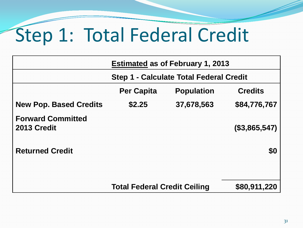## Step 1: Total Federal Credit

|                                         | <b>Estimated as of February 1, 2013</b>        |                   |                |  |
|-----------------------------------------|------------------------------------------------|-------------------|----------------|--|
|                                         | <b>Step 1 - Calculate Total Federal Credit</b> |                   |                |  |
|                                         | <b>Per Capita</b>                              | <b>Population</b> | <b>Credits</b> |  |
| <b>New Pop. Based Credits</b>           | \$2.25                                         | 37,678,563        | \$84,776,767   |  |
| <b>Forward Committed</b><br>2013 Credit |                                                |                   | (\$3,865,547)  |  |
| <b>Returned Credit</b>                  |                                                |                   | \$0            |  |
|                                         |                                                |                   |                |  |
|                                         | <b>Total Federal Credit Ceiling</b>            | \$80,911,220      |                |  |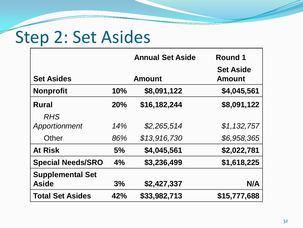## Step 2: Set Asides

|                             |     | <b>Annual Set Aside</b> | Round 1                           |  |
|-----------------------------|-----|-------------------------|-----------------------------------|--|
| <b>Set Asides</b>           |     | <b>Amount</b>           | <b>Set Aside</b><br><b>Amount</b> |  |
| <b>Nonprofit</b>            | 10% | \$8,091,122             | \$4,045,561                       |  |
| <b>Rural</b>                | 20% | \$16,182,244            | \$8,091,122                       |  |
| <b>RHS</b><br>Apportionment | 14% | \$2,265,514             | \$1,132,757                       |  |
| Other                       | 86% | \$13,916,730            | \$6,958,365                       |  |
| <b>At Risk</b>              | 5%  | \$4,045,561             | \$2,022,781                       |  |
| <b>Special Needs/SRO</b>    | 4%  | \$3,236,499             | \$1,618,225                       |  |
| <b>Supplemental Set</b>     |     |                         |                                   |  |
| <b>Aside</b>                | 3%  | \$2,427,337             | N/A                               |  |
| <b>Total Set Asides</b>     | 42% | \$33,982,713            | \$15,777,688                      |  |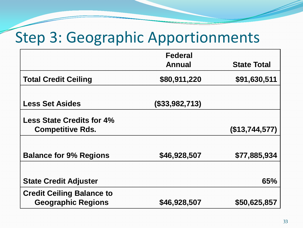#### Step 3: Geographic Apportionments

|                                  | <b>Federal</b>    |                    |
|----------------------------------|-------------------|--------------------|
|                                  | <b>Annual</b>     | <b>State Total</b> |
| <b>Total Credit Ceiling</b>      | \$80,911,220      | \$91,630,511       |
|                                  |                   |                    |
| <b>Less Set Asides</b>           | $($ \$33,982,713) |                    |
| <b>Less State Credits for 4%</b> |                   |                    |
| <b>Competitive Rds.</b>          |                   | $($ \$13,744,577)  |
|                                  |                   |                    |
| <b>Balance for 9% Regions</b>    | \$46,928,507      | \$77,885,934       |
|                                  |                   |                    |
| <b>State Credit Adjuster</b>     |                   | 65%                |
| <b>Credit Ceiling Balance to</b> |                   |                    |
| <b>Geographic Regions</b>        | \$46,928,507      | \$50,625,857       |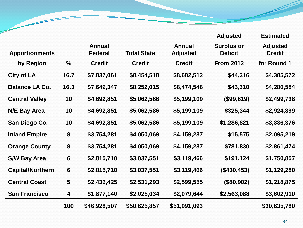|                         |                 |                                 |                    |                                  | <b>Adjusted</b>                     | <b>Estimated</b>                 |
|-------------------------|-----------------|---------------------------------|--------------------|----------------------------------|-------------------------------------|----------------------------------|
| <b>Apportionments</b>   |                 | <b>Annual</b><br><b>Federal</b> | <b>Total State</b> | <b>Annual</b><br><b>Adjusted</b> | <b>Surplus or</b><br><b>Deficit</b> | <b>Adjusted</b><br><b>Credit</b> |
| by Region               | $\frac{0}{0}$   | <b>Credit</b>                   | <b>Credit</b>      | <b>Credit</b>                    | <b>From 2012</b>                    | for Round 1                      |
| <b>City of LA</b>       | 16.7            | \$7,837,061                     | \$8,454,518        | \$8,682,512                      | \$44,316                            | \$4,385,572                      |
| <b>Balance LA Co.</b>   | 16.3            | \$7,649,347                     | \$8,252,015        | \$8,474,548                      | \$43,310                            | \$4,280,584                      |
| <b>Central Valley</b>   | 10              | \$4,692,851                     | \$5,062,586        | \$5,199,109                      | (\$99,819)                          | \$2,499,736                      |
| <b>N/E Bay Area</b>     | 10              | \$4,692,851                     | \$5,062,586        | \$5,199,109                      | \$325,344                           | \$2,924,899                      |
| San Diego Co.           | 10              | \$4,692,851                     | \$5,062,586        | \$5,199,109                      | \$1,286,821                         | \$3,886,376                      |
| <b>Inland Empire</b>    | 8               | \$3,754,281                     | \$4,050,069        | \$4,159,287                      | \$15,575                            | \$2,095,219                      |
| <b>Orange County</b>    | 8               | \$3,754,281                     | \$4,050,069        | \$4,159,287                      | \$781,830                           | \$2,861,474                      |
| <b>S/W Bay Area</b>     | $6\phantom{1}6$ | \$2,815,710                     | \$3,037,551        | \$3,119,466                      | \$191,124                           | \$1,750,857                      |
| <b>Capital/Northern</b> | $6\phantom{1}6$ | \$2,815,710                     | \$3,037,551        | \$3,119,466                      | (\$430,453)                         | \$1,129,280                      |
| <b>Central Coast</b>    | 5               | \$2,436,425                     | \$2,531,293        | \$2,599,555                      | (\$80,902)                          | \$1,218,875                      |
| <b>San Francisco</b>    | 4               | \$1,877,140                     | \$2,025,034        | \$2,079,644                      | \$2,563,088                         | \$3,602,910                      |
|                         | 100             | \$46,928,507                    | \$50,625,857       | \$51,991,093                     |                                     | \$30,635,780                     |

Z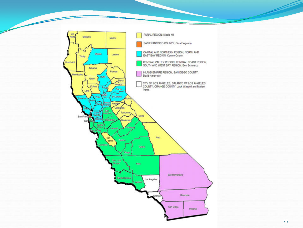